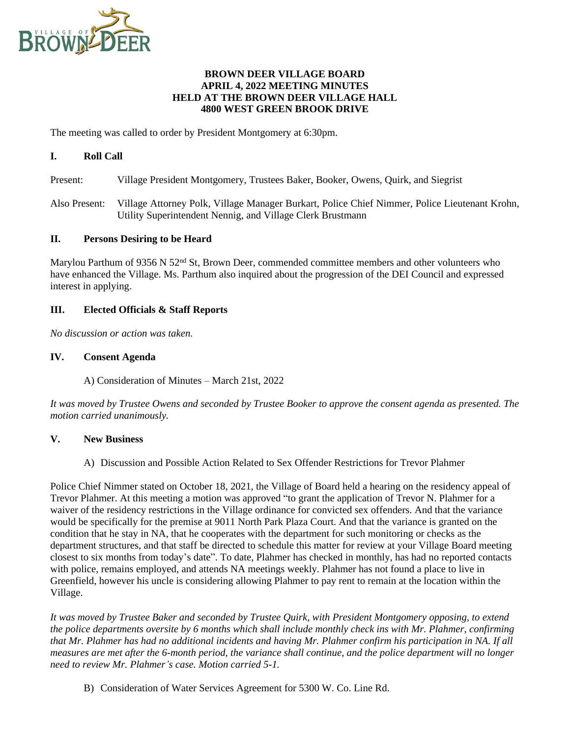

### **BROWN DEER VILLAGE BOARD APRIL 4, 2022 MEETING MINUTES HELD AT THE BROWN DEER VILLAGE HALL 4800 WEST GREEN BROOK DRIVE**

The meeting was called to order by President Montgomery at 6:30pm.

## **I. Roll Call**

Present: Village President Montgomery, Trustees Baker, Booker, Owens, Quirk, and Siegrist

Also Present: Village Attorney Polk, Village Manager Burkart, Police Chief Nimmer, Police Lieutenant Krohn, Utility Superintendent Nennig, and Village Clerk Brustmann

#### **II. Persons Desiring to be Heard**

Marylou Parthum of 9356 N 52<sup>nd</sup> St, Brown Deer, commended committee members and other volunteers who have enhanced the Village. Ms. Parthum also inquired about the progression of the DEI Council and expressed interest in applying.

#### **III. Elected Officials & Staff Reports**

*No discussion or action was taken.*

## **IV. Consent Agenda**

A) Consideration of Minutes – March 21st, 2022

*It was moved by Trustee Owens and seconded by Trustee Booker to approve the consent agenda as presented. The motion carried unanimously.*

## **V. New Business**

A) Discussion and Possible Action Related to Sex Offender Restrictions for Trevor Plahmer

Police Chief Nimmer stated on October 18, 2021, the Village of Board held a hearing on the residency appeal of Trevor Plahmer. At this meeting a motion was approved "to grant the application of Trevor N. Plahmer for a waiver of the residency restrictions in the Village ordinance for convicted sex offenders. And that the variance would be specifically for the premise at 9011 North Park Plaza Court. And that the variance is granted on the condition that he stay in NA, that he cooperates with the department for such monitoring or checks as the department structures, and that staff be directed to schedule this matter for review at your Village Board meeting closest to six months from today's date". To date, Plahmer has checked in monthly, has had no reported contacts with police, remains employed, and attends NA meetings weekly. Plahmer has not found a place to live in Greenfield, however his uncle is considering allowing Plahmer to pay rent to remain at the location within the Village.

*It was moved by Trustee Baker and seconded by Trustee Quirk, with President Montgomery opposing, to extend the police departments oversite by 6 months which shall include monthly check ins with Mr. Plahmer, confirming that Mr. Plahmer has had no additional incidents and having Mr. Plahmer confirm his participation in NA. If all measures are met after the 6-month period, the variance shall continue, and the police department will no longer need to review Mr. Plahmer's case. Motion carried 5-1.*

B) Consideration of Water Services Agreement for 5300 W. Co. Line Rd.